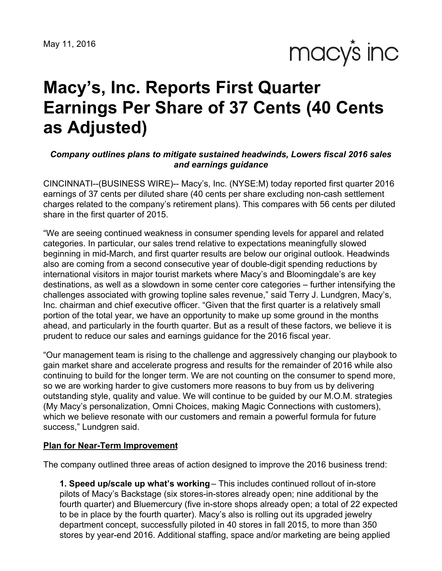May 11, 2016

macy's inc

# **Macy's, Inc. Reports First Quarter Earnings Per Share of 37 Cents (40 Cents as Adjusted)**

#### *Company outlines plans to mitigate sustained headwinds, Lowers fiscal 2016 sales and earnings guidance*

CINCINNATI--(BUSINESS WIRE)-- Macy's, Inc. (NYSE:M) today reported first quarter 2016 earnings of 37 cents per diluted share (40 cents per share excluding non-cash settlement charges related to the company's retirement plans). This compares with 56 cents per diluted share in the first quarter of 2015.

"We are seeing continued weakness in consumer spending levels for apparel and related categories. In particular, our sales trend relative to expectations meaningfully slowed beginning in mid-March, and first quarter results are below our original outlook. Headwinds also are coming from a second consecutive year of double-digit spending reductions by international visitors in major tourist markets where Macy's and Bloomingdale's are key destinations, as well as a slowdown in some center core categories – further intensifying the challenges associated with growing topline sales revenue," said Terry J. Lundgren, Macy's, Inc. chairman and chief executive officer. "Given that the first quarter is a relatively small portion of the total year, we have an opportunity to make up some ground in the months ahead, and particularly in the fourth quarter. But as a result of these factors, we believe it is prudent to reduce our sales and earnings guidance for the 2016 fiscal year.

"Our management team is rising to the challenge and aggressively changing our playbook to gain market share and accelerate progress and results for the remainder of 2016 while also continuing to build for the longer term. We are not counting on the consumer to spend more, so we are working harder to give customers more reasons to buy from us by delivering outstanding style, quality and value. We will continue to be guided by our M.O.M. strategies (My Macy's personalization, Omni Choices, making Magic Connections with customers), which we believe resonate with our customers and remain a powerful formula for future success," Lundgren said.

#### **Plan for Near-Term Improvement**

The company outlined three areas of action designed to improve the 2016 business trend:

**1. Speed up/scale up what's working** – This includes continued rollout of in-store pilots of Macy's Backstage (six stores-in-stores already open; nine additional by the fourth quarter) and Bluemercury (five in-store shops already open; a total of 22 expected to be in place by the fourth quarter). Macy's also is rolling out its upgraded jewelry department concept, successfully piloted in 40 stores in fall 2015, to more than 350 stores by year-end 2016. Additional staffing, space and/or marketing are being applied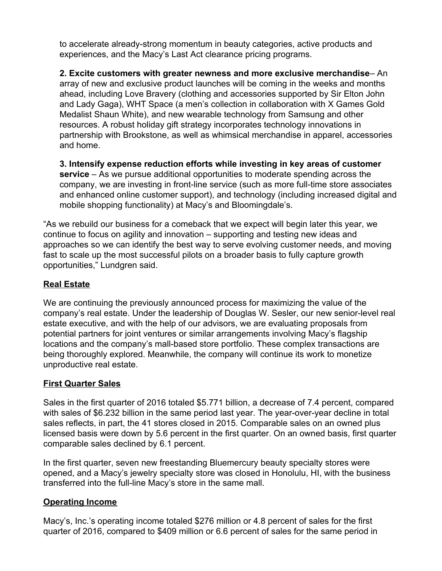to accelerate already-strong momentum in beauty categories, active products and experiences, and the Macy's Last Act clearance pricing programs.

**2. Excite customers with greater newness and more exclusive merchandise**– An array of new and exclusive product launches will be coming in the weeks and months ahead, including Love Bravery (clothing and accessories supported by Sir Elton John and Lady Gaga), WHT Space (a men's collection in collaboration with X Games Gold Medalist Shaun White), and new wearable technology from Samsung and other resources. A robust holiday gift strategy incorporates technology innovations in partnership with Brookstone, as well as whimsical merchandise in apparel, accessories and home.

**3. Intensify expense reduction efforts while investing in key areas of customer service** – As we pursue additional opportunities to moderate spending across the company, we are investing in front-line service (such as more full-time store associates and enhanced online customer support), and technology (including increased digital and mobile shopping functionality) at Macy's and Bloomingdale's.

"As we rebuild our business for a comeback that we expect will begin later this year, we continue to focus on agility and innovation – supporting and testing new ideas and approaches so we can identify the best way to serve evolving customer needs, and moving fast to scale up the most successful pilots on a broader basis to fully capture growth opportunities," Lundgren said.

#### **Real Estate**

We are continuing the previously announced process for maximizing the value of the company's real estate. Under the leadership of Douglas W. Sesler, our new senior-level real estate executive, and with the help of our advisors, we are evaluating proposals from potential partners for joint ventures or similar arrangements involving Macy's flagship locations and the company's mall-based store portfolio. These complex transactions are being thoroughly explored. Meanwhile, the company will continue its work to monetize unproductive real estate.

#### **First Quarter Sales**

Sales in the first quarter of 2016 totaled \$5.771 billion, a decrease of 7.4 percent, compared with sales of \$6.232 billion in the same period last year. The year-over-year decline in total sales reflects, in part, the 41 stores closed in 2015. Comparable sales on an owned plus licensed basis were down by 5.6 percent in the first quarter. On an owned basis, first quarter comparable sales declined by 6.1 percent.

In the first quarter, seven new freestanding Bluemercury beauty specialty stores were opened, and a Macy's jewelry specialty store was closed in Honolulu, HI, with the business transferred into the full-line Macy's store in the same mall.

#### **Operating Income**

Macy's, Inc.'s operating income totaled \$276 million or 4.8 percent of sales for the first quarter of 2016, compared to \$409 million or 6.6 percent of sales for the same period in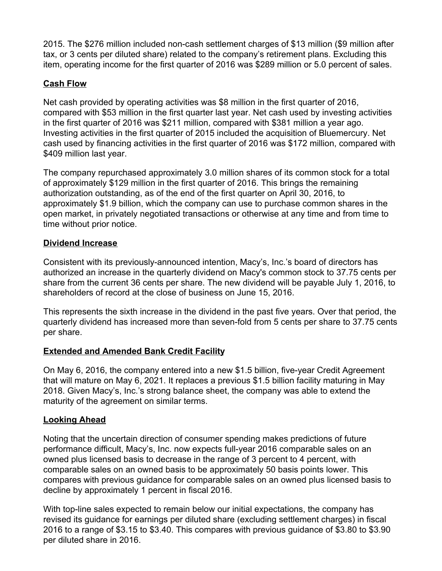2015. The \$276 million included non-cash settlement charges of \$13 million (\$9 million after tax, or 3 cents per diluted share) related to the company's retirement plans. Excluding this item, operating income for the first quarter of 2016 was \$289 million or 5.0 percent of sales.

#### **Cash Flow**

Net cash provided by operating activities was \$8 million in the first quarter of 2016, compared with \$53 million in the first quarter last year. Net cash used by investing activities in the first quarter of 2016 was \$211 million, compared with \$381 million a year ago. Investing activities in the first quarter of 2015 included the acquisition of Bluemercury. Net cash used by financing activities in the first quarter of 2016 was \$172 million, compared with \$409 million last year.

The company repurchased approximately 3.0 million shares of its common stock for a total of approximately \$129 million in the first quarter of 2016. This brings the remaining authorization outstanding, as of the end of the first quarter on April 30, 2016, to approximately \$1.9 billion, which the company can use to purchase common shares in the open market, in privately negotiated transactions or otherwise at any time and from time to time without prior notice.

#### **Dividend Increase**

Consistent with its previously-announced intention, Macy's, Inc.'s board of directors has authorized an increase in the quarterly dividend on Macy's common stock to 37.75 cents per share from the current 36 cents per share. The new dividend will be payable July 1, 2016, to shareholders of record at the close of business on June 15, 2016.

This represents the sixth increase in the dividend in the past five years. Over that period, the quarterly dividend has increased more than seven-fold from 5 cents per share to 37.75 cents per share.

## **Extended and Amended Bank Credit Facility**

On May 6, 2016, the company entered into a new \$1.5 billion, five-year Credit Agreement that will mature on May 6, 2021. It replaces a previous \$1.5 billion facility maturing in May 2018. Given Macy's, Inc.'s strong balance sheet, the company was able to extend the maturity of the agreement on similar terms.

#### **Looking Ahead**

Noting that the uncertain direction of consumer spending makes predictions of future performance difficult, Macy's, Inc. now expects full-year 2016 comparable sales on an owned plus licensed basis to decrease in the range of 3 percent to 4 percent, with comparable sales on an owned basis to be approximately 50 basis points lower. This compares with previous guidance for comparable sales on an owned plus licensed basis to decline by approximately 1 percent in fiscal 2016.

With top-line sales expected to remain below our initial expectations, the company has revised its guidance for earnings per diluted share (excluding settlement charges) in fiscal 2016 to a range of \$3.15 to \$3.40. This compares with previous guidance of \$3.80 to \$3.90 per diluted share in 2016.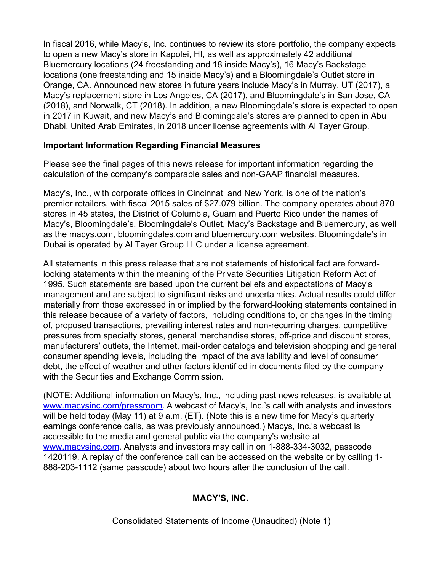In fiscal 2016, while Macy's, Inc. continues to review its store portfolio, the company expects to open a new Macy's store in Kapolei, HI, as well as approximately 42 additional Bluemercury locations (24 freestanding and 18 inside Macy's), 16 Macy's Backstage locations (one freestanding and 15 inside Macy's) and a Bloomingdale's Outlet store in Orange, CA. Announced new stores in future years include Macy's in Murray, UT (2017), a Macy's replacement store in Los Angeles, CA (2017), and Bloomingdale's in San Jose, CA (2018), and Norwalk, CT (2018). In addition, a new Bloomingdale's store is expected to open in 2017 in Kuwait, and new Macy's and Bloomingdale's stores are planned to open in Abu Dhabi, United Arab Emirates, in 2018 under license agreements with Al Tayer Group.

#### **Important Information Regarding Financial Measures**

Please see the final pages of this news release for important information regarding the calculation of the company's comparable sales and non-GAAP financial measures.

Macy's, Inc., with corporate offices in Cincinnati and New York, is one of the nation's premier retailers, with fiscal 2015 sales of \$27.079 billion. The company operates about 870 stores in 45 states, the District of Columbia, Guam and Puerto Rico under the names of Macy's, Bloomingdale's, Bloomingdale's Outlet, Macy's Backstage and Bluemercury, as well as the macys.com, bloomingdales.com and bluemercury.com websites. Bloomingdale's in Dubai is operated by Al Tayer Group LLC under a license agreement.

All statements in this press release that are not statements of historical fact are forwardlooking statements within the meaning of the Private Securities Litigation Reform Act of 1995. Such statements are based upon the current beliefs and expectations of Macy's management and are subject to significant risks and uncertainties. Actual results could differ materially from those expressed in or implied by the forward-looking statements contained in this release because of a variety of factors, including conditions to, or changes in the timing of, proposed transactions, prevailing interest rates and non-recurring charges, competitive pressures from specialty stores, general merchandise stores, off-price and discount stores, manufacturers' outlets, the Internet, mail-order catalogs and television shopping and general consumer spending levels, including the impact of the availability and level of consumer debt, the effect of weather and other factors identified in documents filed by the company with the Securities and Exchange Commission.

(NOTE: Additional information on Macy's, Inc., including past news releases, is available at [www.macysinc.com/pressroom](http://www.macysinc.com/pressroom). A webcast of Macy's, Inc.'s call with analysts and investors will be held today (May 11) at 9 a.m. (ET). (Note this is a new time for Macy's quarterly earnings conference calls, as was previously announced.) Macys, Inc.'s webcast is accessible to the media and general public via the company's website at [www.macysinc.com](http://www.macysinc.com). Analysts and investors may call in on 1-888-334-3032, passcode 1420119. A replay of the conference call can be accessed on the website or by calling 1- 888-203-1112 (same passcode) about two hours after the conclusion of the call.

#### **MACY'S, INC.**

Consolidated Statements of Income (Unaudited) (Note 1)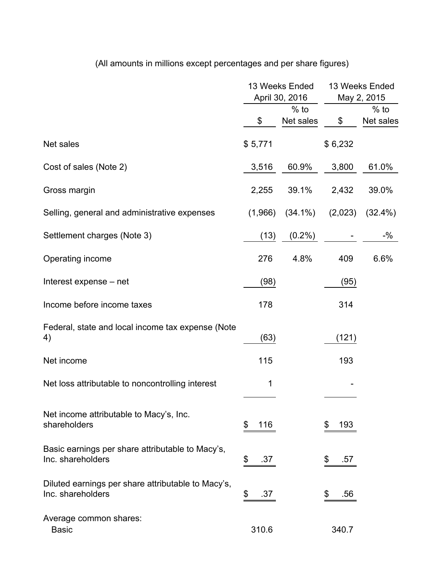|                                                                         |           | 13 Weeks Ended<br>April 30, 2016 | 13 Weeks Ended<br>May 2, 2015 |            |  |
|-------------------------------------------------------------------------|-----------|----------------------------------|-------------------------------|------------|--|
|                                                                         | $%$ to    |                                  |                               | $%$ to     |  |
|                                                                         | \$        | Net sales                        | \$                            | Net sales  |  |
| Net sales                                                               | \$5,771   |                                  | \$6,232                       |            |  |
| Cost of sales (Note 2)                                                  | 3,516     | 60.9%                            | 3,800                         | 61.0%      |  |
| Gross margin                                                            | 2,255     | 39.1%                            | 2,432                         | 39.0%      |  |
| Selling, general and administrative expenses                            | (1,966)   | $(34.1\%)$                       | (2,023)                       | $(32.4\%)$ |  |
| Settlement charges (Note 3)                                             | (13)      | $(0.2\%)$                        |                               | $-$ %      |  |
| Operating income                                                        | 276       | 4.8%                             | 409                           | 6.6%       |  |
| Interest expense – net                                                  | (98)      |                                  | (95)                          |            |  |
| Income before income taxes                                              | 178       |                                  | 314                           |            |  |
| Federal, state and local income tax expense (Note<br>4)                 | (63)      |                                  | (121)                         |            |  |
| Net income                                                              | 115       |                                  | 193                           |            |  |
| Net loss attributable to noncontrolling interest                        | 1         |                                  |                               |            |  |
| Net income attributable to Macy's, Inc.<br>shareholders                 | \$<br>116 |                                  | 193<br>\$                     |            |  |
| Basic earnings per share attributable to Macy's,<br>Inc. shareholders   | \$<br>.37 |                                  | \$<br>.57                     |            |  |
| Diluted earnings per share attributable to Macy's,<br>Inc. shareholders | \$<br>.37 |                                  | .56<br>\$                     |            |  |
| Average common shares:<br><b>Basic</b>                                  | 310.6     |                                  | 340.7                         |            |  |

# (All amounts in millions except percentages and per share figures)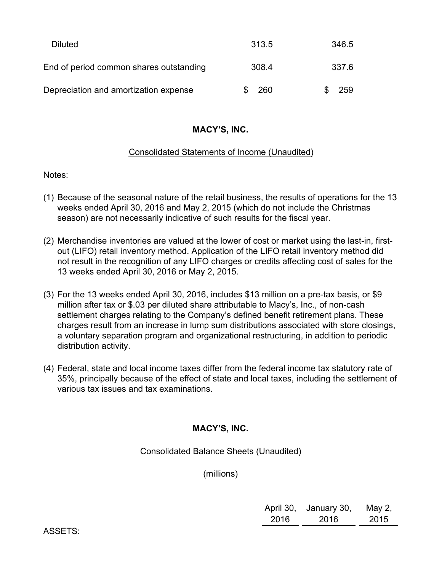| <b>Diluted</b>                          | 313.5 | 346.5 |
|-----------------------------------------|-------|-------|
| End of period common shares outstanding | 308.4 | 337.6 |
| Depreciation and amortization expense   | -260  | 259   |

#### **MACY'S, INC.**

#### Consolidated Statements of Income (Unaudited)

Notes:

- (1) Because of the seasonal nature of the retail business, the results of operations for the 13 weeks ended April 30, 2016 and May 2, 2015 (which do not include the Christmas season) are not necessarily indicative of such results for the fiscal year.
- (2) Merchandise inventories are valued at the lower of cost or market using the last-in, firstout (LIFO) retail inventory method. Application of the LIFO retail inventory method did not result in the recognition of any LIFO charges or credits affecting cost of sales for the 13 weeks ended April 30, 2016 or May 2, 2015.
- (3) For the 13 weeks ended April 30, 2016, includes \$13 million on a pre-tax basis, or \$9 million after tax or \$.03 per diluted share attributable to Macy's, Inc., of non-cash settlement charges relating to the Company's defined benefit retirement plans. These charges result from an increase in lump sum distributions associated with store closings, a voluntary separation program and organizational restructuring, in addition to periodic distribution activity.
- (4) Federal, state and local income taxes differ from the federal income tax statutory rate of 35%, principally because of the effect of state and local taxes, including the settlement of various tax issues and tax examinations.

#### **MACY'S, INC.**

Consolidated Balance Sheets (Unaudited)

(millions)

| April 30, | January 30, | May 2, |
|-----------|-------------|--------|
| 2016      | 2016        | 2015   |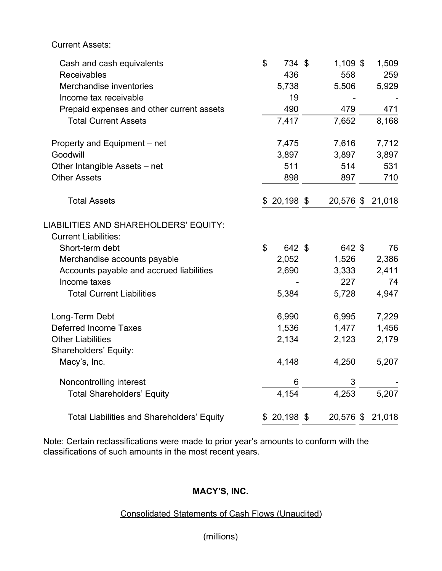Current Assets:

| Cash and cash equivalents                         | $\boldsymbol{\mathsf{S}}$ | 734 \$       | 1,109 \$  | 1,509  |
|---------------------------------------------------|---------------------------|--------------|-----------|--------|
| Receivables                                       |                           | 436          | 558       | 259    |
| Merchandise inventories                           |                           | 5,738        | 5,506     | 5,929  |
| Income tax receivable                             |                           | 19           |           |        |
| Prepaid expenses and other current assets         |                           | 490          | 479       | 471    |
| <b>Total Current Assets</b>                       |                           | 7,417        | 7,652     | 8,168  |
| Property and Equipment – net                      |                           | 7,475        | 7,616     | 7,712  |
| Goodwill                                          |                           | 3,897        | 3,897     | 3,897  |
| Other Intangible Assets - net                     |                           | 511          | 514       | 531    |
| <b>Other Assets</b>                               |                           | 898          | 897       | 710    |
| <b>Total Assets</b>                               |                           | 20,198 \$    | 20,576 \$ | 21,018 |
| LIABILITIES AND SHAREHOLDERS' EQUITY:             |                           |              |           |        |
| <b>Current Liabilities:</b>                       |                           |              |           |        |
| Short-term debt                                   | $\mathfrak{S}$            | 642 \$       | 642 \$    | 76     |
| Merchandise accounts payable                      |                           | 2,052        | 1,526     | 2,386  |
| Accounts payable and accrued liabilities          |                           | 2,690        | 3,333     | 2,411  |
| Income taxes                                      |                           |              | 227       | 74     |
| <b>Total Current Liabilities</b>                  |                           | 5,384        | 5,728     | 4,947  |
| Long-Term Debt                                    |                           | 6,990        | 6,995     | 7,229  |
| <b>Deferred Income Taxes</b>                      |                           | 1,536        | 1,477     | 1,456  |
| <b>Other Liabilities</b>                          |                           | 2,134        | 2,123     | 2,179  |
| Shareholders' Equity:                             |                           |              |           |        |
| Macy's, Inc.                                      |                           | 4,148        | 4,250     | 5,207  |
| Noncontrolling interest                           |                           | 6            | 3         |        |
| <b>Total Shareholders' Equity</b>                 |                           | 4,154        | 4,253     | 5,207  |
| <b>Total Liabilities and Shareholders' Equity</b> |                           | $$20,198$ \$ | 20,576 \$ | 21,018 |

Note: Certain reclassifications were made to prior year's amounts to conform with the classifications of such amounts in the most recent years.

# **MACY'S, INC.**

## Consolidated Statements of Cash Flows (Unaudited)

# (millions)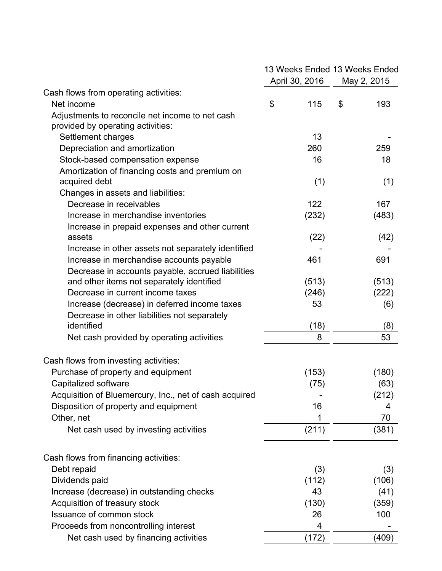|                                                        |    | April 30, 2016 |    | 13 Weeks Ended 13 Weeks Ended<br>May 2, 2015 |  |
|--------------------------------------------------------|----|----------------|----|----------------------------------------------|--|
| Cash flows from operating activities:                  |    |                |    |                                              |  |
| Net income                                             | \$ | 115            | \$ | 193                                          |  |
| Adjustments to reconcile net income to net cash        |    |                |    |                                              |  |
| provided by operating activities:                      |    |                |    |                                              |  |
| Settlement charges                                     |    | 13             |    |                                              |  |
| Depreciation and amortization                          |    | 260            |    | 259                                          |  |
| Stock-based compensation expense                       |    | 16             |    | 18                                           |  |
| Amortization of financing costs and premium on         |    |                |    |                                              |  |
| acquired debt                                          |    | (1)            |    | (1)                                          |  |
| Changes in assets and liabilities:                     |    |                |    |                                              |  |
| Decrease in receivables                                |    | 122            |    | 167                                          |  |
| Increase in merchandise inventories                    |    | (232)          |    | (483)                                        |  |
| Increase in prepaid expenses and other current         |    |                |    |                                              |  |
| assets                                                 |    | (22)           |    | (42)                                         |  |
| Increase in other assets not separately identified     |    |                |    |                                              |  |
| Increase in merchandise accounts payable               |    | 461            |    | 691                                          |  |
| Decrease in accounts payable, accrued liabilities      |    |                |    |                                              |  |
| and other items not separately identified              |    | (513)          |    | (513)                                        |  |
| Decrease in current income taxes                       |    | (246)          |    | (222)                                        |  |
| Increase (decrease) in deferred income taxes           |    | 53             |    | (6)                                          |  |
| Decrease in other liabilities not separately           |    |                |    |                                              |  |
| identified                                             |    | (18)           |    | (8)                                          |  |
| Net cash provided by operating activities              |    | 8              |    | 53                                           |  |
| Cash flows from investing activities:                  |    |                |    |                                              |  |
| Purchase of property and equipment                     |    | (153)          |    | (180)                                        |  |
| Capitalized software                                   |    | (75)           |    | (63)                                         |  |
| Acquisition of Bluemercury, Inc., net of cash acquired |    |                |    | (212)                                        |  |
| Disposition of property and equipment                  |    | 16             |    | 4                                            |  |
| Other, net                                             |    | 1              |    | 70                                           |  |
| Net cash used by investing activities                  |    | (211)          |    | (381)                                        |  |
| Cash flows from financing activities:                  |    |                |    |                                              |  |
| Debt repaid                                            |    | (3)            |    | (3)                                          |  |
| Dividends paid                                         |    | (112)          |    | (106)                                        |  |
| Increase (decrease) in outstanding checks              |    | 43             |    | (41)                                         |  |
| Acquisition of treasury stock                          |    | (130)          |    | (359)                                        |  |
| Issuance of common stock                               |    | 26             |    | 100                                          |  |
| Proceeds from noncontrolling interest                  |    | 4              |    |                                              |  |
| Net cash used by financing activities                  |    | (172)          |    | (409)                                        |  |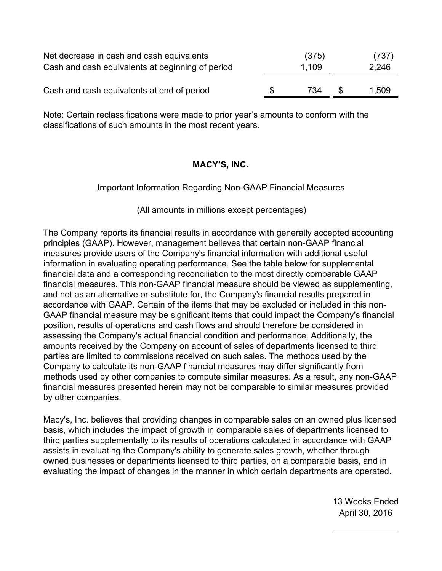| Net decrease in cash and cash equivalents<br>Cash and cash equivalents at beginning of period | (375)<br>1.109 |     | (737)<br>2,246 |  |  |
|-----------------------------------------------------------------------------------------------|----------------|-----|----------------|--|--|
| Cash and cash equivalents at end of period                                                    | \$<br>734      | \$. | 1,509          |  |  |

Note: Certain reclassifications were made to prior year's amounts to conform with the classifications of such amounts in the most recent years.

#### **MACY'S, INC.**

#### Important Information Regarding Non-GAAP Financial Measures

(All amounts in millions except percentages)

The Company reports its financial results in accordance with generally accepted accounting principles (GAAP). However, management believes that certain non-GAAP financial measures provide users of the Company's financial information with additional useful information in evaluating operating performance. See the table below for supplemental financial data and a corresponding reconciliation to the most directly comparable GAAP financial measures. This non-GAAP financial measure should be viewed as supplementing, and not as an alternative or substitute for, the Company's financial results prepared in accordance with GAAP. Certain of the items that may be excluded or included in this non-GAAP financial measure may be significant items that could impact the Company's financial position, results of operations and cash flows and should therefore be considered in assessing the Company's actual financial condition and performance. Additionally, the amounts received by the Company on account of sales of departments licensed to third parties are limited to commissions received on such sales. The methods used by the Company to calculate its non-GAAP financial measures may differ significantly from methods used by other companies to compute similar measures. As a result, any non-GAAP financial measures presented herein may not be comparable to similar measures provided by other companies.

Macy's, Inc. believes that providing changes in comparable sales on an owned plus licensed basis, which includes the impact of growth in comparable sales of departments licensed to third parties supplementally to its results of operations calculated in accordance with GAAP assists in evaluating the Company's ability to generate sales growth, whether through owned businesses or departments licensed to third parties, on a comparable basis, and in evaluating the impact of changes in the manner in which certain departments are operated.

> 13 Weeks Ended April 30, 2016